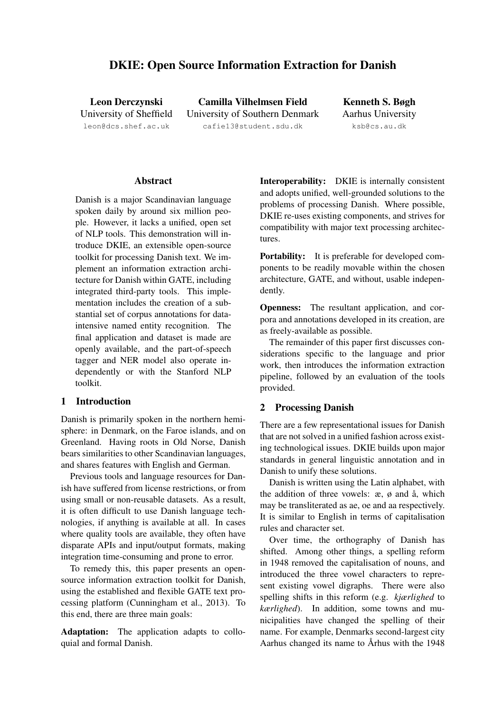# DKIE: Open Source Information Extraction for Danish

Leon Derczynski University of Sheffield leon@dcs.shef.ac.uk

Camilla Vilhelmsen Field University of Southern Denmark cafie13@student.sdu.dk

Kenneth S. Bøgh Aarhus University ksb@cs.au.dk

#### Abstract

Danish is a major Scandinavian language spoken daily by around six million people. However, it lacks a unified, open set of NLP tools. This demonstration will introduce DKIE, an extensible open-source toolkit for processing Danish text. We implement an information extraction architecture for Danish within GATE, including integrated third-party tools. This implementation includes the creation of a substantial set of corpus annotations for dataintensive named entity recognition. The final application and dataset is made are openly available, and the part-of-speech tagger and NER model also operate independently or with the Stanford NLP toolkit.

#### 1 Introduction

Danish is primarily spoken in the northern hemisphere: in Denmark, on the Faroe islands, and on Greenland. Having roots in Old Norse, Danish bears similarities to other Scandinavian languages, and shares features with English and German.

Previous tools and language resources for Danish have suffered from license restrictions, or from using small or non-reusable datasets. As a result, it is often difficult to use Danish language technologies, if anything is available at all. In cases where quality tools are available, they often have disparate APIs and input/output formats, making integration time-consuming and prone to error.

To remedy this, this paper presents an opensource information extraction toolkit for Danish, using the established and flexible GATE text processing platform (Cunningham et al., 2013). To this end, there are three main goals:

Adaptation: The application adapts to colloquial and formal Danish.

Interoperability: DKIE is internally consistent and adopts unified, well-grounded solutions to the problems of processing Danish. Where possible, DKIE re-uses existing components, and strives for compatibility with major text processing architectures.

Portability: It is preferable for developed components to be readily movable within the chosen architecture, GATE, and without, usable independently.

Openness: The resultant application, and corpora and annotations developed in its creation, are as freely-available as possible.

The remainder of this paper first discusses considerations specific to the language and prior work, then introduces the information extraction pipeline, followed by an evaluation of the tools provided.

## 2 Processing Danish

There are a few representational issues for Danish that are not solved in a unified fashion across existing technological issues. DKIE builds upon major standards in general linguistic annotation and in Danish to unify these solutions.

Danish is written using the Latin alphabet, with the addition of three vowels:  $x, \phi$  and  $\hat{a}$ , which may be transliterated as ae, oe and aa respectively. It is similar to English in terms of capitalisation rules and character set.

Over time, the orthography of Danish has shifted. Among other things, a spelling reform in 1948 removed the capitalisation of nouns, and introduced the three vowel characters to represent existing vowel digraphs. There were also spelling shifts in this reform (e.g. *kjærlighed* to *kærlighed*). In addition, some towns and municipalities have changed the spelling of their name. For example, Denmarks second-largest city Aarhus changed its name to Århus with the 1948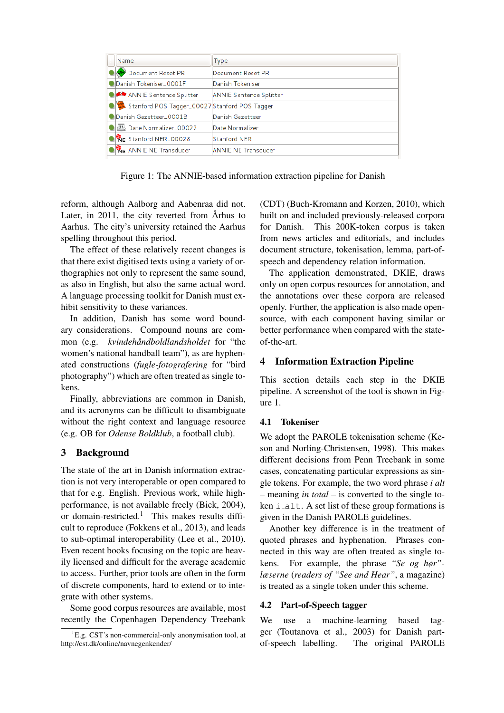| Name                                          | Type                           |
|-----------------------------------------------|--------------------------------|
| Document Reset PR                             | Document Reset PR              |
| Danish Tokeniser_0001F                        | Danish Tokeniser               |
| ANNIE Sentence Splitter                       | <b>ANNIE Sentence Splitter</b> |
| Stanford POS Tagger_00027 Stanford POS Tagger |                                |
| Danish Gazetteer_0001B                        | Danish Gazetteer               |
| 31 Date Normalizer_00022                      | Date Normalizer                |
| Stanford NER_00028                            | Stanford NER                   |
| <b>KE ANNIE NE Transducer</b>                 | <b>ANNIE NE Transducer</b>     |

Figure 1: The ANNIE-based information extraction pipeline for Danish

reform, although Aalborg and Aabenraa did not. Later, in  $2011$ , the city reverted from Arhus to Aarhus. The city's university retained the Aarhus spelling throughout this period.

The effect of these relatively recent changes is that there exist digitised texts using a variety of orthographies not only to represent the same sound, as also in English, but also the same actual word. A language processing toolkit for Danish must exhibit sensitivity to these variances.

In addition, Danish has some word boundary considerations. Compound nouns are common (e.g. *kvindehåndboldlandsholdet* for "the women's national handball team"), as are hyphenated constructions (*fugle-fotografering* for "bird photography") which are often treated as single tokens.

Finally, abbreviations are common in Danish, and its acronyms can be difficult to disambiguate without the right context and language resource (e.g. OB for *Odense Boldklub*, a football club).

# 3 Background

The state of the art in Danish information extraction is not very interoperable or open compared to that for e.g. English. Previous work, while highperformance, is not available freely (Bick, 2004), or domain-restricted.<sup>1</sup> This makes results difficult to reproduce (Fokkens et al., 2013), and leads to sub-optimal interoperability (Lee et al., 2010). Even recent books focusing on the topic are heavily licensed and difficult for the average academic to access. Further, prior tools are often in the form of discrete components, hard to extend or to integrate with other systems.

Some good corpus resources are available, most recently the Copenhagen Dependency Treebank

(CDT) (Buch-Kromann and Korzen, 2010), which built on and included previously-released corpora for Danish. This 200K-token corpus is taken from news articles and editorials, and includes document structure, tokenisation, lemma, part-ofspeech and dependency relation information.

The application demonstrated, DKIE, draws only on open corpus resources for annotation, and the annotations over these corpora are released openly. Further, the application is also made opensource, with each component having similar or better performance when compared with the stateof-the-art.

# 4 Information Extraction Pipeline

This section details each step in the DKIE pipeline. A screenshot of the tool is shown in Figure 1.

## 4.1 Tokeniser

We adopt the PAROLE tokenisation scheme (Keson and Norling-Christensen, 1998). This makes different decisions from Penn Treebank in some cases, concatenating particular expressions as single tokens. For example, the two word phrase *i alt* – meaning *in total* – is converted to the single token i alt. A set list of these group formations is given in the Danish PAROLE guidelines.

Another key difference is in the treatment of quoted phrases and hyphenation. Phrases connected in this way are often treated as single tokens. For example, the phrase *"Se og hør" læserne* (*readers of "See and Hear"*, a magazine) is treated as a single token under this scheme.

## 4.2 Part-of-Speech tagger

We use a machine-learning based tagger (Toutanova et al., 2003) for Danish partof-speech labelling. The original PAROLE

 ${}^{1}E.g.$  CST's non-commercial-only anonymisation tool, at http://cst.dk/online/navnegenkender/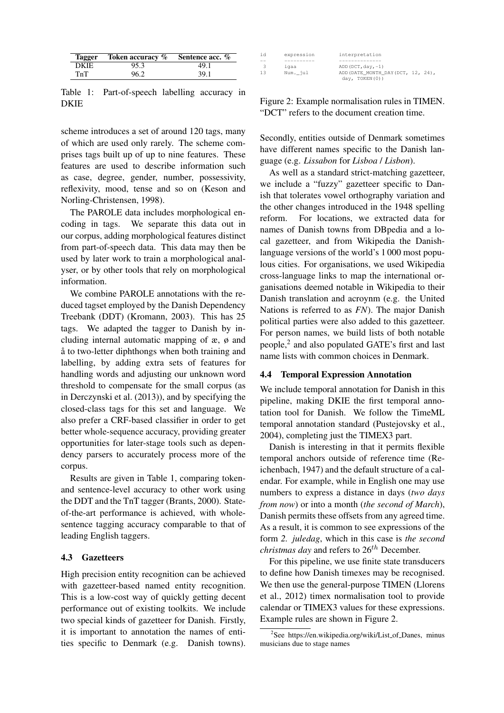| <b>Tagger</b> | Token accuracy % | Sentence acc. % |
|---------------|------------------|-----------------|
| <b>DKIE</b>   | 95.3             | 49.1            |
| TnT           | 96.2             | 39.1            |

Table 1: Part-of-speech labelling accuracy in DKIE

scheme introduces a set of around 120 tags, many of which are used only rarely. The scheme comprises tags built up of up to nine features. These features are used to describe information such as case, degree, gender, number, possessivity, reflexivity, mood, tense and so on (Keson and Norling-Christensen, 1998).

The PAROLE data includes morphological encoding in tags. We separate this data out in our corpus, adding morphological features distinct from part-of-speech data. This data may then be used by later work to train a morphological analyser, or by other tools that rely on morphological information.

We combine PAROLE annotations with the reduced tagset employed by the Danish Dependency Treebank (DDT) (Kromann, 2003). This has 25 tags. We adapted the tagger to Danish by including internal automatic mapping of æ, ø and a to two-letter diphthongs when both training and labelling, by adding extra sets of features for handling words and adjusting our unknown word threshold to compensate for the small corpus (as in Derczynski et al. (2013)), and by specifying the closed-class tags for this set and language. We also prefer a CRF-based classifier in order to get better whole-sequence accuracy, providing greater opportunities for later-stage tools such as dependency parsers to accurately process more of the corpus.

Results are given in Table 1, comparing tokenand sentence-level accuracy to other work using the DDT and the TnT tagger (Brants, 2000). Stateof-the-art performance is achieved, with wholesentence tagging accuracy comparable to that of leading English taggers.

### 4.3 Gazetteers

High precision entity recognition can be achieved with gazetteer-based named entity recognition. This is a low-cost way of quickly getting decent performance out of existing toolkits. We include two special kinds of gazetteer for Danish. Firstly, it is important to annotation the names of entities specific to Denmark (e.g. Danish towns).

| id            | expression | interpretation                     |
|---------------|------------|------------------------------------|
| $-$           |            |                                    |
| $\mathcal{R}$ | iqaa       | $ADD (DCT, day, -1)$               |
| 13            | Num. jul   | ADD (DATE MONTH DAY (DCT, 12, 24), |
|               |            | day, TOKEN(0))                     |

Figure 2: Example normalisation rules in TIMEN. "DCT" refers to the document creation time.

Secondly, entities outside of Denmark sometimes have different names specific to the Danish language (e.g. *Lissabon* for *Lisboa* / *Lisbon*).

As well as a standard strict-matching gazetteer, we include a "fuzzy" gazetteer specific to Danish that tolerates vowel orthography variation and the other changes introduced in the 1948 spelling reform. For locations, we extracted data for names of Danish towns from DBpedia and a local gazetteer, and from Wikipedia the Danishlanguage versions of the world's 1 000 most populous cities. For organisations, we used Wikipedia cross-language links to map the international organisations deemed notable in Wikipedia to their Danish translation and acroynm (e.g. the United Nations is referred to as *FN*). The major Danish political parties were also added to this gazetteer. For person names, we build lists of both notable people,<sup>2</sup> and also populated GATE's first and last name lists with common choices in Denmark.

### 4.4 Temporal Expression Annotation

We include temporal annotation for Danish in this pipeline, making DKIE the first temporal annotation tool for Danish. We follow the TimeML temporal annotation standard (Pustejovsky et al., 2004), completing just the TIMEX3 part.

Danish is interesting in that it permits flexible temporal anchors outside of reference time (Reichenbach, 1947) and the default structure of a calendar. For example, while in English one may use numbers to express a distance in days (*two days from now*) or into a month (*the second of March*), Danish permits these offsets from any agreed time. As a result, it is common to see expressions of the form *2. juledag*, which in this case is *the second christmas day* and refers to 26<sup>th</sup> December.

For this pipeline, we use finite state transducers to define how Danish timexes may be recognised. We then use the general-purpose TIMEN (Llorens et al., 2012) timex normalisation tool to provide calendar or TIMEX3 values for these expressions. Example rules are shown in Figure 2.

<sup>&</sup>lt;sup>2</sup>See https://en.wikipedia.org/wiki/List\_of\_Danes, minus musicians due to stage names